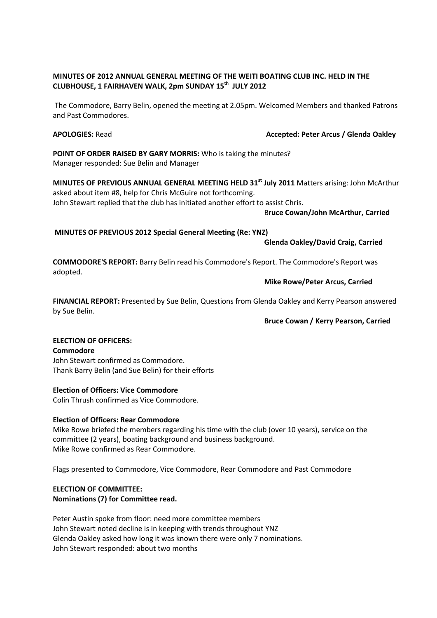# **MINUTES OF 2012 ANNUAL GENERAL MEETING OF THE WEITI BOATING CLUB INC. HELD IN THE CLUBHOUSE, 1 FAIRHAVEN WALK, 2pm SUNDAY 15th JULY 2012**

The Commodore, Barry Belin, opened the meeting at 2.05pm. Welcomed Members and thanked Patrons and Past Commodores.

## **APOLOGIES:** Read **Accepted: Peter Arcus / Glenda Oakley**

**POINT OF ORDER RAISED BY GARY MORRIS:** Who is taking the minutes? Manager responded: Sue Belin and Manager

**MINUTES OF PREVIOUS ANNUAL GENERAL MEETING HELD 31st July 2011** Matters arising: John McArthur asked about item #8, help for Chris McGuire not forthcoming. John Stewart replied that the club has initiated another effort to assist Chris.

B**ruce Cowan/John McArthur, Carried**

**MINUTES OF PREVIOUS 2012 Special General Meeting (Re: YNZ)**

**Glenda Oakley/David Craig, Carried**

**COMMODORE'S REPORT:** Barry Belin read his Commodore's Report. The Commodore's Report was adopted.

## **Mike Rowe/Peter Arcus, Carried**

**FINANCIAL REPORT:** Presented by Sue Belin, Questions from Glenda Oakley and Kerry Pearson answered by Sue Belin.

**Bruce Cowan / Kerry Pearson, Carried**

# **ELECTION OF OFFICERS:**

**Commodore**

John Stewart confirmed as Commodore. Thank Barry Belin (and Sue Belin) for their efforts

## **Election of Officers: Vice Commodore**

Colin Thrush confirmed as Vice Commodore.

## **Election of Officers: Rear Commodore**

Mike Rowe briefed the members regarding his time with the club (over 10 years), service on the committee (2 years), boating background and business background. Mike Rowe confirmed as Rear Commodore.

Flags presented to Commodore, Vice Commodore, Rear Commodore and Past Commodore

## **ELECTION OF COMMITTEE: Nominations (7) for Committee read.**

Peter Austin spoke from floor: need more committee members John Stewart noted decline is in keeping with trends throughout YNZ Glenda Oakley asked how long it was known there were only 7 nominations. John Stewart responded: about two months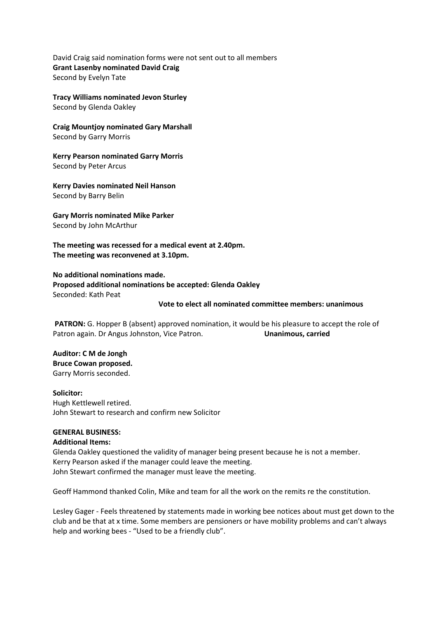David Craig said nomination forms were not sent out to all members **Grant Lasenby nominated David Craig** Second by Evelyn Tate

**Tracy Williams nominated Jevon Sturley** Second by Glenda Oakley

**Craig Mountjoy nominated Gary Marshall** Second by Garry Morris

**Kerry Pearson nominated Garry Morris** Second by Peter Arcus

**Kerry Davies nominated Neil Hanson** Second by Barry Belin

**Gary Morris nominated Mike Parker** Second by John McArthur

**The meeting was recessed for a medical event at 2.40pm. The meeting was reconvened at 3.10pm.**

**No additional nominations made. Proposed additional nominations be accepted: Glenda Oakley** Seconded: Kath Peat

#### **Vote to elect all nominated committee members: unanimous**

**PATRON:** G. Hopper B (absent) approved nomination, it would be his pleasure to accept the role of Patron again. Dr Angus Johnston, Vice Patron. **Unanimous, carried**

**Auditor: C M de Jongh Bruce Cowan proposed.** Garry Morris seconded.

**Solicitor:** Hugh Kettlewell retired. John Stewart to research and confirm new Solicitor

## **GENERAL BUSINESS:**

#### **Additional Items:**

Glenda Oakley questioned the validity of manager being present because he is not a member. Kerry Pearson asked if the manager could leave the meeting. John Stewart confirmed the manager must leave the meeting.

Geoff Hammond thanked Colin, Mike and team for all the work on the remits re the constitution.

Lesley Gager - Feels threatened by statements made in working bee notices about must get down to the club and be that at x time. Some members are pensioners or have mobility problems and can't always help and working bees - "Used to be a friendly club".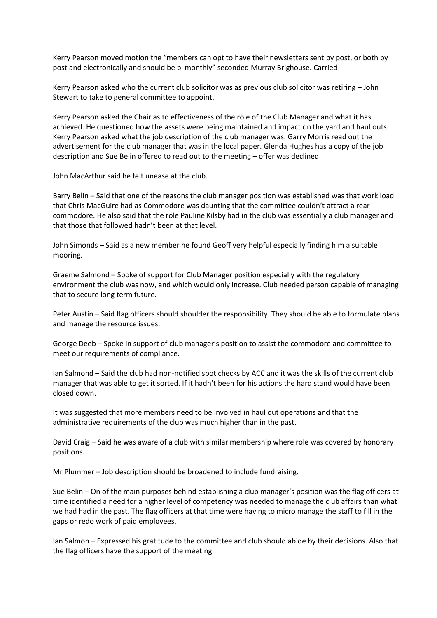Kerry Pearson moved motion the "members can opt to have their newsletters sent by post, or both by post and electronically and should be bi monthly" seconded Murray Brighouse. Carried

Kerry Pearson asked who the current club solicitor was as previous club solicitor was retiring – John Stewart to take to general committee to appoint.

Kerry Pearson asked the Chair as to effectiveness of the role of the Club Manager and what it has achieved. He questioned how the assets were being maintained and impact on the yard and haul outs. Kerry Pearson asked what the job description of the club manager was. Garry Morris read out the advertisement for the club manager that was in the local paper. Glenda Hughes has a copy of the job description and Sue Belin offered to read out to the meeting – offer was declined.

John MacArthur said he felt unease at the club.

Barry Belin – Said that one of the reasons the club manager position was established was that work load that Chris MacGuire had as Commodore was daunting that the committee couldn't attract a rear commodore. He also said that the role Pauline Kilsby had in the club was essentially a club manager and that those that followed hadn't been at that level.

John Simonds – Said as a new member he found Geoff very helpful especially finding him a suitable mooring.

Graeme Salmond – Spoke of support for Club Manager position especially with the regulatory environment the club was now, and which would only increase. Club needed person capable of managing that to secure long term future.

Peter Austin – Said flag officers should shoulder the responsibility. They should be able to formulate plans and manage the resource issues.

George Deeb – Spoke in support of club manager's position to assist the commodore and committee to meet our requirements of compliance.

Ian Salmond – Said the club had non-notified spot checks by ACC and it was the skills of the current club manager that was able to get it sorted. If it hadn't been for his actions the hard stand would have been closed down.

It was suggested that more members need to be involved in haul out operations and that the administrative requirements of the club was much higher than in the past.

David Craig – Said he was aware of a club with similar membership where role was covered by honorary positions.

Mr Plummer – Job description should be broadened to include fundraising.

Sue Belin – On of the main purposes behind establishing a club manager's position was the flag officers at time identified a need for a higher level of competency was needed to manage the club affairs than what we had had in the past. The flag officers at that time were having to micro manage the staff to fill in the gaps or redo work of paid employees.

Ian Salmon – Expressed his gratitude to the committee and club should abide by their decisions. Also that the flag officers have the support of the meeting.